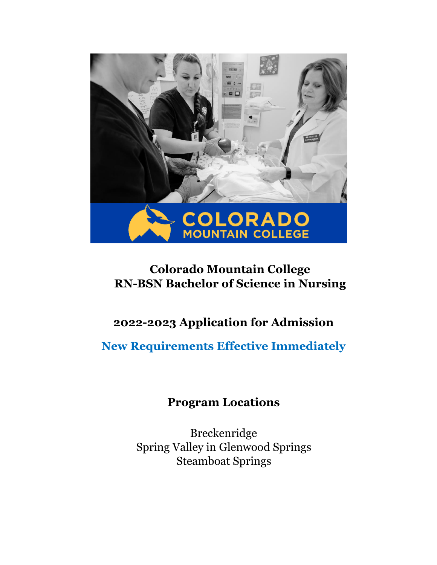

# **Colorado Mountain College RN-BSN Bachelor of Science in Nursing**

# **2022-2023 Application for Admission**

**New Requirements Effective Immediately** 

## **Program Locations**

Breckenridge Spring Valley in Glenwood Springs Steamboat Springs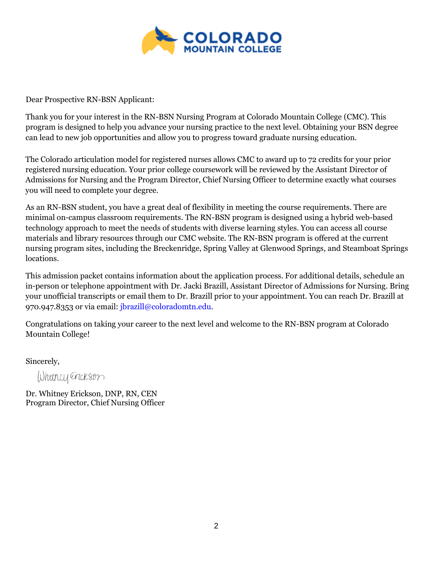

Dear Prospective RN-BSN Applicant:

Thank you for your interest in the RN-BSN Nursing Program at Colorado Mountain College (CMC). This program is designed to help you advance your nursing practice to the next level. Obtaining your BSN degree can lead to new job opportunities and allow you to progress toward graduate nursing education.

The Colorado articulation model for registered nurses allows CMC to award up to 72 credits for your prior registered nursing education. Your prior college coursework will be reviewed by the Assistant Director of Admissions for Nursing and the Program Director, Chief Nursing Officer to determine exactly what courses you will need to complete your degree.

As an RN-BSN student, you have a great deal of flexibility in meeting the course requirements. There are minimal on-campus classroom requirements. The RN-BSN program is designed using a hybrid web-based technology approach to meet the needs of students with diverse learning styles. You can access all course materials and library resources through our CMC website. The RN-BSN program is offered at the current nursing program sites, including the Breckenridge, Spring Valley at Glenwood Springs, and Steamboat Springs locations.

This admission packet contains information about the application process. For additional details, schedule an in-person or telephone appointment with Dr. Jacki Brazill, Assistant Director of Admissions for Nursing. Bring your unofficial transcripts or email them to Dr. Brazill prior to your appointment. You can reach Dr. Brazill at 970.947.8353 or via email: jbrazill@coloradomtn.edu.

Congratulations on taking your career to the next level and welcome to the RN-BSN program at Colorado Mountain College!

Sincerely,

Whitney Erickson

 Dr. Whitney Erickson, DNP, RN, CEN Program Director, Chief Nursing Officer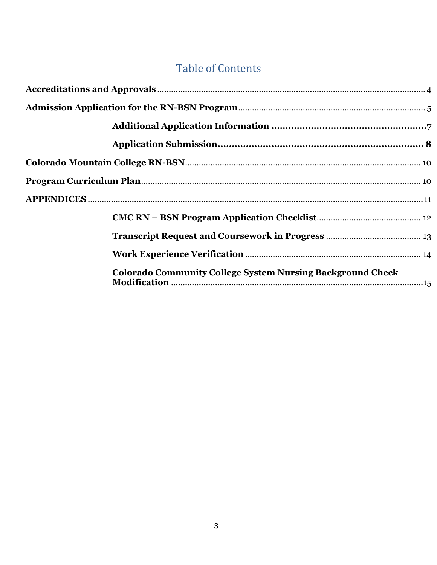# **Table of Contents**

| <b>Colorado Community College System Nursing Background Check</b> |  |
|-------------------------------------------------------------------|--|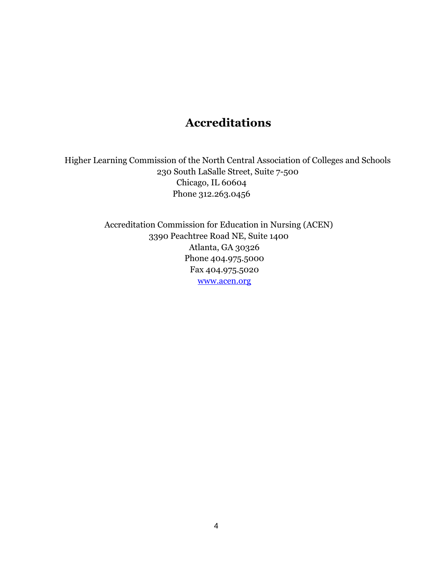## **Accreditations**

<span id="page-3-0"></span>Higher Learning Commission of the North Central Association of Colleges and Schools 230 South LaSalle Street, Suite 7-500 Chicago, IL 60604 Phone 312.263.0456

> Accreditation Commission for Education in Nursing (ACEN) 3390 Peachtree Road NE, Suite 1400 Atlanta, GA 30326 Phone 404.975.5000 Fax 404.975.5020 [www.acen.org](http://www.nlnac.org/)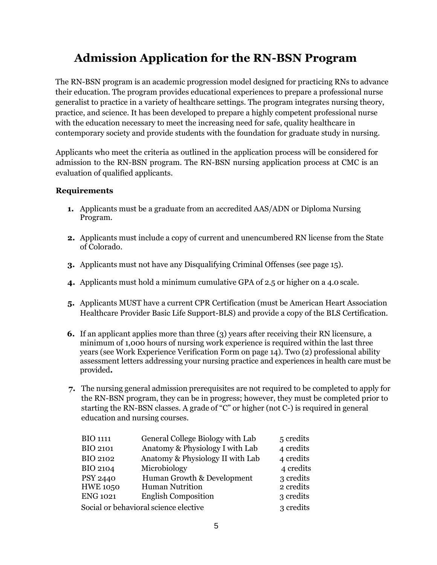# **Admission Application for the RN-BSN Program**

<span id="page-4-0"></span>The RN-BSN program is an academic progression model designed for practicing RNs to advance their education. The program provides educational experiences to prepare a professional nurse generalist to practice in a variety of healthcare settings. The program integrates nursing theory, practice, and science. It has been developed to prepare a highly competent professional nurse with the education necessary to meet the increasing need for safe, quality healthcare in contemporary society and provide students with the foundation for graduate study in nursing.

Applicants who meet the criteria as outlined in the application process will be considered for admission to the RN-BSN program. The RN-BSN nursing application process at CMC is an evaluation of qualified applicants.

#### **Requirements**

- **1.** Applicants must be a graduate from an accredited AAS/ADN or Diploma Nursing Program.
- **2.** Applicants must include a copy of current and unencumbered RN license from the State of Colorado.
- **3.** Applicants must not have any Disqualifying Criminal Offenses (see page 15).
- **4.** Applicants must hold a minimum cumulative GPA of 2.5 or higher on a 4.0 scale.
- **5.** Applicants MUST have a current CPR Certification (must be American Heart Association Healthcare Provider Basic Life Support-BLS) and provide a copy of the BLS Certification.
- **6.** If an applicant applies more than three (3) years after receiving their RN licensure, a minimum of 1,000 hours of nursing work experience is required within the last three years (see Work Experience Verification Form on page 14). Two (2) professional ability assessment letters addressing your nursing practice and experiences in health care must be provided**.**
- **7.** The nursing general admission prerequisites are not required to be completed to apply for the RN-BSN program, they can be in progress; however, they must be completed prior to starting the RN-BSN classes. A grade of "C" or higher (not C-) is required in general education and nursing courses.

| <b>BIO 1111</b>                       | General College Biology with Lab | 5 credits |
|---------------------------------------|----------------------------------|-----------|
| <b>BIO 2101</b>                       | Anatomy & Physiology I with Lab  | 4 credits |
| <b>BIO 2102</b>                       | Anatomy & Physiology II with Lab | 4 credits |
| <b>BIO 2104</b>                       | Microbiology                     | 4 credits |
| <b>PSY 2440</b>                       | Human Growth & Development       | 3 credits |
| <b>HWE 1050</b>                       | <b>Human Nutrition</b>           | 2 credits |
| <b>ENG 1021</b>                       | <b>English Composition</b>       | 3 credits |
| Social or behavioral science elective |                                  | 3 credits |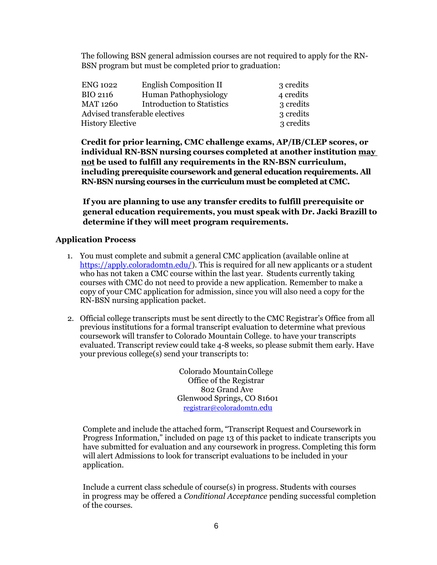The following BSN general admission courses are not required to apply for the RN-BSN program but must be completed prior to graduation:

| ENG 1022                | English Composition II            | 3 credits |  |
|-------------------------|-----------------------------------|-----------|--|
| BIO 2116                | <b>Human Pathophysiology</b>      | 4 credits |  |
| MAT 1260                | <b>Introduction to Statistics</b> | 3 credits |  |
|                         | Advised transferable electives    |           |  |
| <b>History Elective</b> | 3 credits                         |           |  |

**Credit for prior learning, CMC challenge exams, AP/IB/CLEP scores, or individual RN-BSN nursing courses completed at another institution may not be used to fulfill any requirements in the RN-BSN curriculum, including prerequisite coursework and general education requirements. All RN-BSN nursing courses in the curriculum must be completed at CMC.**

**If you are planning to use any transfer credits to fulfill prerequisite or general education requirements, you must speak with Dr. Jacki Brazill to determine if they will meet program requirements.**

#### **Application Process**

- 1. You must complete and submit a general CMC application (available online at [https://apply.coloradomtn.edu/\)](https://apply.coloradomtn.edu/). This is required for all new applicants or a student who has not taken a CMC course within the last year. Students currently taking courses with CMC do not need to provide a new application. Remember to make a copy of your CMC application for admission, since you will also need a copy for the RN-BSN nursing application packet.
- 2. Official college transcripts must be sent directly to the CMC Registrar's Office from all previous institutions for a formal transcript evaluation to determine what previous coursework will transfer to Colorado Mountain College. to have your transcripts evaluated. Transcript review could take 4-8 weeks, so please submit them early. Have your previous college(s) send your transcripts to:

Colorado MountainCollege Office of the Registrar 802 Grand Ave Glenwood Springs, CO 81601 [registrar@coloradomtn.](mailto:registrar@coloradomtn.edu)[edu](mailto:registrar@coloradomtn.edu)

Complete and include the attached form, "Transcript Request and Coursework in Progress Information," included on page 13 of this packet to indicate transcripts you have submitted for evaluation and any coursework in progress. Completing this form will alert Admissions to look for transcript evaluations to be included in your application.

Include a current class schedule of course(s) in progress. Students with courses in progress may be offered a *Conditional Acceptance* pending successful completion of the courses.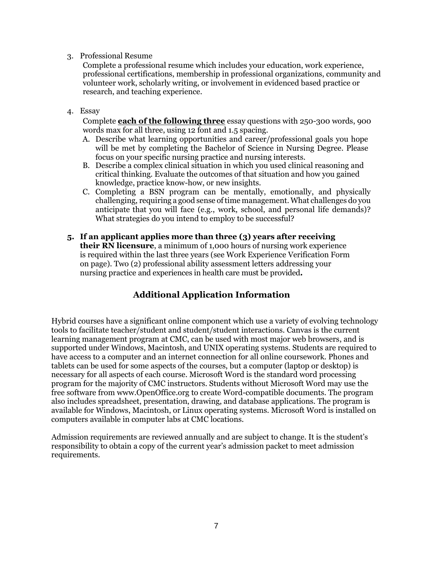#### 3. Professional Resume

Complete a professional resume which includes your education, work experience, professional certifications, membership in professional organizations, community and volunteer work, scholarly writing, or involvement in evidenced based practice or research, and teaching experience.

4. Essay

Complete **each of the following three** essay questions with 250-300 words, 900 words max for all three, using 12 font and 1.5 spacing.

- A. Describe what learning opportunities and career/professional goals you hope will be met by completing the Bachelor of Science in Nursing Degree. Please focus on your specific nursing practice and nursing interests.
- B. Describe a complex clinical situation in which you used clinical reasoning and critical thinking. Evaluate the outcomes of that situation and how you gained knowledge, practice know-how, or new insights.
- C. Completing a BSN program can be mentally, emotionally, and physically challenging, requiring a good sense oftime management.What challenges do you anticipate that you will face (e.g., work, school, and personal life demands)? What strategies do you intend to employ to be successful?
- **5. If an applicant applies more than three (3) years after receiving their RN licensure**, a minimum of 1,000 hours of nursing work experience is required within the last three years (see Work Experience Verification Form on page). Two (2) professional ability assessment letters addressing your nursing practice and experiences in health care must be provided**.**

### **Additional Application Information**

<span id="page-6-0"></span>Hybrid courses have a significant online component which use a variety of evolving technology tools to facilitate teacher/student and student/student interactions. Canvas is the current learning management program at CMC, can be used with most major web browsers, and is supported under Windows, Macintosh, and UNIX operating systems. Students are required to have access to a computer and an internet connection for all online coursework. Phones and tablets can be used for some aspects of the courses, but a computer (laptop or desktop) is necessary for all aspects of each course. Microsoft Word is the standard word processing program for the majority of CMC instructors. Students without Microsoft Word may use the free software from [www.OpenOffice.org t](http://www.openoffice.org/)o create Word-compatible documents. The program also includes spreadsheet, presentation, drawing, and database applications. The program is available for Windows, Macintosh, or Linux operating systems. Microsoft Word is installed on computers available in computer labs at CMC locations.

<span id="page-6-1"></span>Admission requirements are reviewed annually and are subject to change. It is the student's responsibility to obtain a copy of the current year's admission packet to meet admission requirements.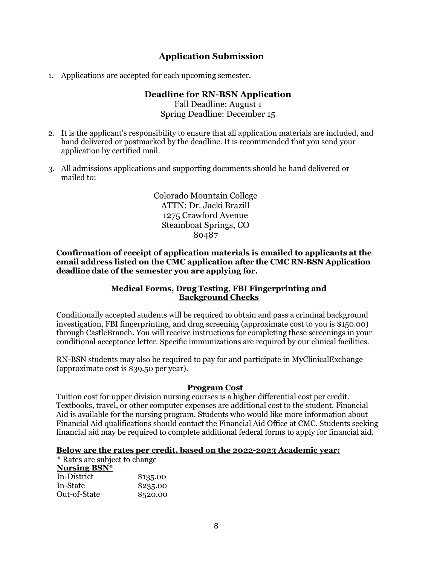### **Application Submission**

1. Applications are accepted for each upcoming semester.

#### **Deadline for RN-BSN Application** Fall Deadline: August 1 Spring Deadline: December 15

- 2. It is the applicant's responsibility to ensure that all application materials are included, and hand delivered or postmarked by the deadline. It is recommended that you send your application by certified mail.
- 3. All admissions applications and supporting documents should be hand delivered or mailed to:

Colorado Mountain College ATTN: Dr. Jacki Brazill 1275 Crawford Avenue Steamboat Springs, CO 80487

**Confirmation of receipt of application materials is emailed to applicants at the email address listed on the CMC application after the CMC RN-BSN Application deadline date of the semester you are applying for.**

#### **Medical Forms, Drug Testing, FBI Fingerprinting and Background Checks**

Conditionally accepted students will be required to obtain and pass a criminal background investigation, FBI fingerprinting, and drug screening (approximate cost to you is \$150.00) through CastleBranch. You will receive instructions for completing these screenings in your conditional acceptance letter. Specific immunizations are required by our clinical facilities.

RN-BSN students may also be required to pay for and participate in MyClinicalExchange (approximate cost is \$39.50 per year).

#### **Program Cost**

Tuition cost for upper division nursing courses is a higher differential cost per credit. Textbooks, travel, or other computer expenses are additional cost to the student. Financial Aid is available for the nursing program. Students who would like more information about Financial Aid qualifications should contact the Financial Aid Office at CMC. Students seeking financial aid may be required to complete additional federal forms to apply for financial aid.

#### **Below are the rates per credit, based on the 2022-2023 Academic year:**

\* Rates are subject to change **Nursing BSN\*** In-District \$135.00 In-State \$235.00 Out-of-State \$520.00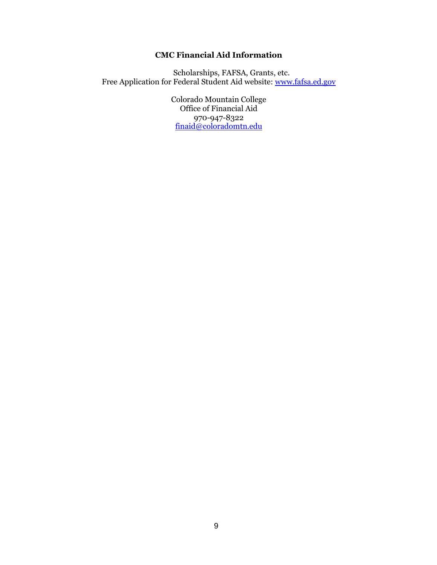### **CMC Financial Aid Information**

Scholarships, FAFSA, Grants, etc. Free Application for Federal Student Aid website: [www.fafsa.ed.gov](http://www.fafsa.ed.gov/)

> Colorado Mountain College Office of Financial Aid 970-947-8322 [finaid@coloradomtn.edu](mailto:finaid@coloradomtn.edu)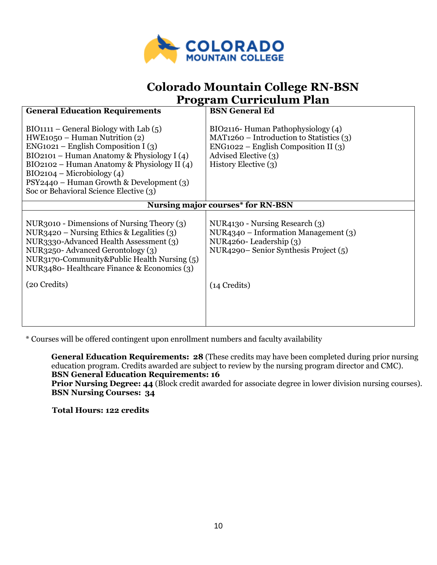

## **Colorado Mountain College RN-BSN Program Curriculum Plan**

<span id="page-9-1"></span><span id="page-9-0"></span>

| <b>General Education Requirements</b>                                                                                                                                                                                                                                                                                                              | <b>BSN</b> General Ed                                                                                                                                                      |  |
|----------------------------------------------------------------------------------------------------------------------------------------------------------------------------------------------------------------------------------------------------------------------------------------------------------------------------------------------------|----------------------------------------------------------------------------------------------------------------------------------------------------------------------------|--|
| $BIO1111 - General Biology with Lab(5)$<br>$HWE1050 - Human \; \text{Nutrition (2)}$<br>$ENG1021 - English Composition I (3)$<br>BIO2101 – Human Anatomy & Physiology I $(4)$<br>BIO2102 - Human Anatomy & Physiology II (4)<br>$BIO2104 - Microbiology (4)$<br>PSY2440 - Human Growth & Development (3)<br>Soc or Behavioral Science Elective (3) | BIO2116- Human Pathophysiology (4)<br>$MAT1260 - Introduction to Statistics (3)$<br>$ENG1022 - English Composition II (3)$<br>Advised Elective (3)<br>History Elective (3) |  |
| <b>Nursing major courses* for RN-BSN</b>                                                                                                                                                                                                                                                                                                           |                                                                                                                                                                            |  |
| NUR3010 - Dimensions of Nursing Theory $(3)$<br>NUR3420 – Nursing Ethics & Legalities $(3)$<br>NUR3330-Advanced Health Assessment (3)<br>NUR3250-Advanced Gerontology (3)<br>NUR3170-Community&Public Health Nursing (5)<br>NUR3480-Healthcare Finance & Economics (3)<br>(20 Credits)                                                             | NUR4130 - Nursing Research (3)<br>$NUR4340 - Information Management (3)$<br>NUR4260-Leadership (3)<br>NUR4290–Senior Synthesis Project (5)<br>(14 Credits)                 |  |

\* Courses will be offered contingent upon enrollment numbers and faculty availability

**General Education Requirements: 28** (These credits may have been completed during prior nursing education program. Credits awarded are subject to review by the nursing program director and CMC). **BSN General Education Requirements: 16** 

**Prior Nursing Degree: 44** (Block credit awarded for associate degree in lower division nursing courses). **BSN Nursing Courses: 34**

**Total Hours: 122 credits**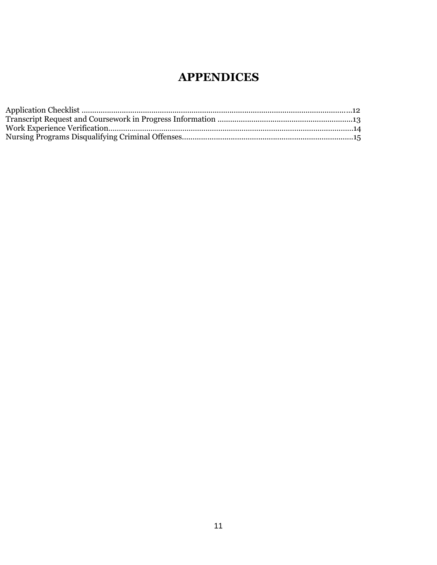# **APPENDICES**

<span id="page-10-0"></span>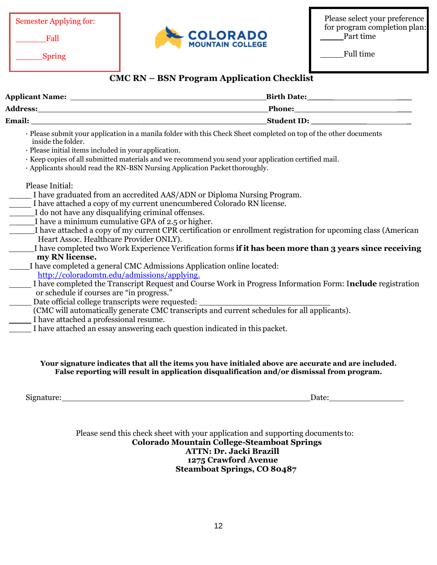Semester Applying for:

\_\_\_\_\_\_Fall

Spring



Please select your preference for program completion plan: Part time

Full time

### **CMC RN – BSN Program Application Checklist**

<span id="page-11-0"></span>

|                                                                                                                                                                                                                                                                                                                                                                                                         | Birth Date: 1988 and 1989 and 1989 and 1989 and 1989 and 1989 and 1989 and 1989 and 1989 and 1989 and 1989 and 1989 and 1989 and 1989 and 1989 and 1989 and 1989 and 1989 and 1989 and 1989 and 1989 and 1989 and 1989 and 198 |
|---------------------------------------------------------------------------------------------------------------------------------------------------------------------------------------------------------------------------------------------------------------------------------------------------------------------------------------------------------------------------------------------------------|--------------------------------------------------------------------------------------------------------------------------------------------------------------------------------------------------------------------------------|
| <b>Address:</b>                                                                                                                                                                                                                                                                                                                                                                                         | Phone:                                                                                                                                                                                                                         |
| Email: <u>International Communication</u>                                                                                                                                                                                                                                                                                                                                                               | <b>Student ID:</b> Student ID:                                                                                                                                                                                                 |
| · Please submit your application in a manila folder with this Check Sheet completed on top of the other documents<br>inside the folder.<br>· Please initial items included in your application.<br>· Keep copies of all submitted materials and we recommend you send your application certified mail.<br>· Applicants should read the RN-BSN Nursing Application Packet thoroughly.<br>Please Initial: |                                                                                                                                                                                                                                |

- I have graduated from an accredited AAS/ADN or Diploma Nursing Program.
- I have attached a copy of my current unencumbered Colorado RN license.
- I do not have any disqualifying criminal offenses.
- I have a minimum cumulative GPA of 2.5 or higher.
- \_\_\_\_\_I have attached a copy of my current CPR certification or enrollment registration for upcoming class (American Heart Assoc. Healthcare Provider ONLY).
- \_\_\_\_\_I have completed two Work Experience Verification forms **if it has been more than 3 years since receiving my RN license.**
- \_\_\_\_I have completed a general CMC Admissions Application online located:
	- [http://coloradomtn.edu/admissions/applying.](http://coloradomtn.edu/admissions/applying)
- I have completed the Transcript Request and Course Work in Progress Information Form: I**nclude** registration or schedule if courses are "in progress."
- Date official college transcripts were requested:
- (CMC will automatically generate CMC transcripts and current schedules for all applicants).
- I have attached a professional resume.
- I have attached an essay answering each question indicated in this packet.

#### **Your signature indicates that all the items you have initialed above are accurate and are included. False reporting will result in application disqualification and/or dismissal from program.**

Signature: Date: Development and the set of the set of the set of the set of the set of the set of the set of the set of the set of the set of the set of the set of the set of the set of the set of the set of the set of th

Please send this check sheet with your application and supporting documents to: **Colorado Mountain College-Steamboat Springs ATTN: Dr. Jacki Brazill 1275 Crawford Avenue Steamboat Springs, CO 80487**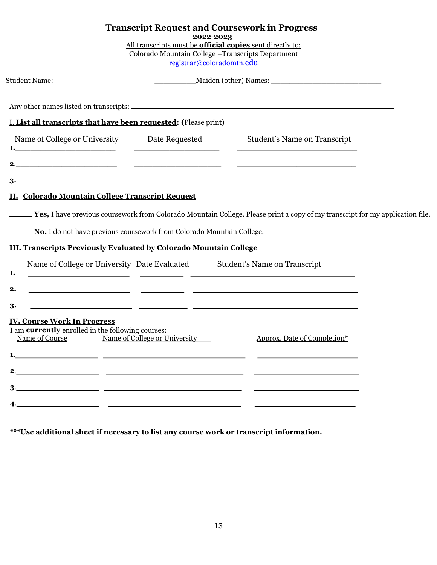<span id="page-12-0"></span>

|                                                                                                                                         | 2022-2023 | <b>Transcript Request and Coursework in Progress</b><br>All transcripts must be <b>official copies</b> sent directly to:<br>Colorado Mountain College - Transcripts Department<br>registrar@coloradomtn.edu |  |
|-----------------------------------------------------------------------------------------------------------------------------------------|-----------|-------------------------------------------------------------------------------------------------------------------------------------------------------------------------------------------------------------|--|
|                                                                                                                                         |           |                                                                                                                                                                                                             |  |
|                                                                                                                                         |           |                                                                                                                                                                                                             |  |
| I. List all transcripts that have been requested: (Please print)                                                                        |           |                                                                                                                                                                                                             |  |
| Name of College or University Date Requested                                                                                            |           | Student's Name on Transcript                                                                                                                                                                                |  |
|                                                                                                                                         |           |                                                                                                                                                                                                             |  |
|                                                                                                                                         |           |                                                                                                                                                                                                             |  |
| II. Colorado Mountain College Transcript Request                                                                                        |           |                                                                                                                                                                                                             |  |
|                                                                                                                                         |           | <b>Yes, I have previous coursework from Colorado Mountain College. Please print a copy of my transcript for my application file.</b>                                                                        |  |
| No, I do not have previous coursework from Colorado Mountain College.                                                                   |           |                                                                                                                                                                                                             |  |
| <b>III. Transcripts Previously Evaluated by Colorado Mountain College</b>                                                               |           |                                                                                                                                                                                                             |  |
| 1.                                                                                                                                      |           | Name of College or University Date Evaluated Student's Name on Transcript<br><u> 1989 - Johann John Stein, fransk politik (f. 1989)</u>                                                                     |  |
| 2.                                                                                                                                      |           | <u> 1989 - Johann John Stone, mars eta biztanleria (h. 1989).</u>                                                                                                                                           |  |
| 3.                                                                                                                                      |           |                                                                                                                                                                                                             |  |
| <b>IV. Course Work In Progress</b><br>I am currently enrolled in the following courses:<br>Name of Course Name of College or University |           | Approx. Date of Completion*                                                                                                                                                                                 |  |
| <u> 1989 - Johann Harry Barn, mars and de Branch and de Branch and de Branch and de Branch and de Branch and de B</u>                   |           |                                                                                                                                                                                                             |  |
| 2.                                                                                                                                      |           |                                                                                                                                                                                                             |  |
|                                                                                                                                         |           |                                                                                                                                                                                                             |  |
|                                                                                                                                         |           |                                                                                                                                                                                                             |  |

**\*\*\*Use additional sheet if necessary to list any course work or transcript information.**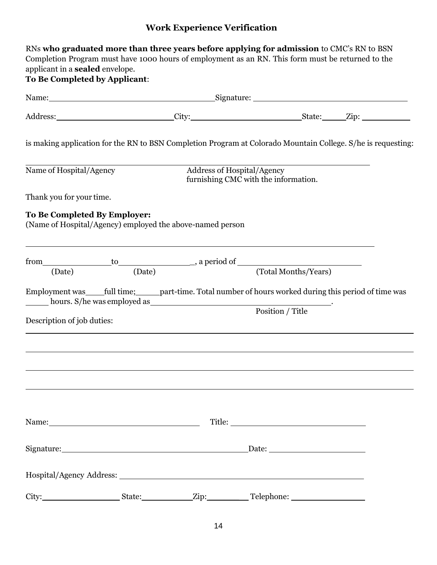## **Work Experience Verification**

<span id="page-13-0"></span>

| RNs who graduated more than three years before applying for admission to CMC's RN to BSN<br>Completion Program must have 1000 hours of employment as an RN. This form must be returned to the<br>applicant in a <b>sealed</b> envelope.<br><b>To Be Completed by Applicant:</b> |                                                                    |  |  |
|---------------------------------------------------------------------------------------------------------------------------------------------------------------------------------------------------------------------------------------------------------------------------------|--------------------------------------------------------------------|--|--|
| Name: Signature: Signature: Signature: Signature: Signature: Signature: Signature: Signature: Signature: Signature: Signature: Signature: Signature: Signature: Signature: Signature: Signature: Signature: Signature: Signatu                                                  |                                                                    |  |  |
|                                                                                                                                                                                                                                                                                 |                                                                    |  |  |
| is making application for the RN to BSN Completion Program at Colorado Mountain College. S/he is requesting:                                                                                                                                                                    |                                                                    |  |  |
| Name of Hospital/Agency                                                                                                                                                                                                                                                         | Address of Hospital/Agency<br>furnishing CMC with the information. |  |  |
| Thank you for your time.                                                                                                                                                                                                                                                        |                                                                    |  |  |
| To Be Completed By Employer:<br>(Name of Hospital/Agency) employed the above-named person                                                                                                                                                                                       |                                                                    |  |  |
| from to to are to a period of (Date) and the set of the contract of the contract of $($ Date) $)$ (Total Months/Years)                                                                                                                                                          |                                                                    |  |  |
|                                                                                                                                                                                                                                                                                 |                                                                    |  |  |
| Employment was ______full time; _______part-time. Total number of hours worked during this period of time was                                                                                                                                                                   |                                                                    |  |  |
| Description of job duties:                                                                                                                                                                                                                                                      | Position / Title                                                   |  |  |
|                                                                                                                                                                                                                                                                                 |                                                                    |  |  |
|                                                                                                                                                                                                                                                                                 |                                                                    |  |  |
|                                                                                                                                                                                                                                                                                 |                                                                    |  |  |
|                                                                                                                                                                                                                                                                                 |                                                                    |  |  |
| Signature: Date: Date: Date:                                                                                                                                                                                                                                                    |                                                                    |  |  |
|                                                                                                                                                                                                                                                                                 |                                                                    |  |  |
|                                                                                                                                                                                                                                                                                 |                                                                    |  |  |